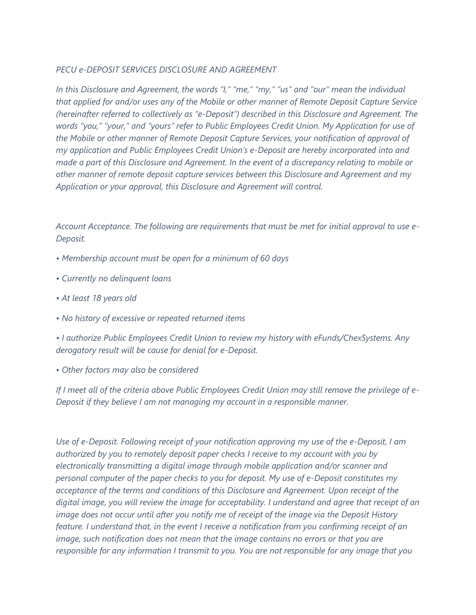## *PECU e-DEPOSIT SERVICES DISCLOSURE AND AGREEMENT*

*In this Disclosure and Agreement, the words "I," "me," "my," "us" and "our" mean the individual that applied for and/or uses any of the Mobile or other manner of Remote Deposit Capture Service (hereinafter referred to collectively as "e-Deposit") described in this Disclosure and Agreement. The words "you," "your," and "yours" refer to Public Employees Credit Union. My Application for use of the Mobile or other manner of Remote Deposit Capture Services, your notification of approval of my application and Public Employees Credit Union's e-Deposit are hereby incorporated into and made a part of this Disclosure and Agreement. In the event of a discrepancy relating to mobile or other manner of remote deposit capture services between this Disclosure and Agreement and my Application or your approval, this Disclosure and Agreement will control.* 

*Account Acceptance. The following are requirements that must be met for initial approval to use e-Deposit.* 

- *Membership account must be open for a minimum of 60 days*
- *Currently no delinquent loans*
- *At least 18 years old*
- *No history of excessive or repeated returned items*

*• I authorize Public Employees Credit Union to review my history with eFunds/ChexSystems. Any derogatory result will be cause for denial for e-Deposit.* 

*• Other factors may also be considered*

*If I meet all of the criteria above Public Employees Credit Union may still remove the privilege of e-Deposit if they believe I am not managing my account in a responsible manner.* 

*Use of e-Deposit. Following receipt of your notification approving my use of the e-Deposit, I am authorized by you to remotely deposit paper checks I receive to my account with you by electronically transmitting a digital image through mobile application and/or scanner and personal computer of the paper checks to you for deposit. My use of e-Deposit constitutes my acceptance of the terms and conditions of this Disclosure and Agreement. Upon receipt of the digital image, you will review the image for acceptability. I understand and agree that receipt of an image does not occur until after you notify me of receipt of the image via the Deposit History feature. I understand that, in the event I receive a notification from you confirming receipt of an image, such notification does not mean that the image contains no errors or that you are responsible for any information I transmit to you. You are not responsible for any image that you*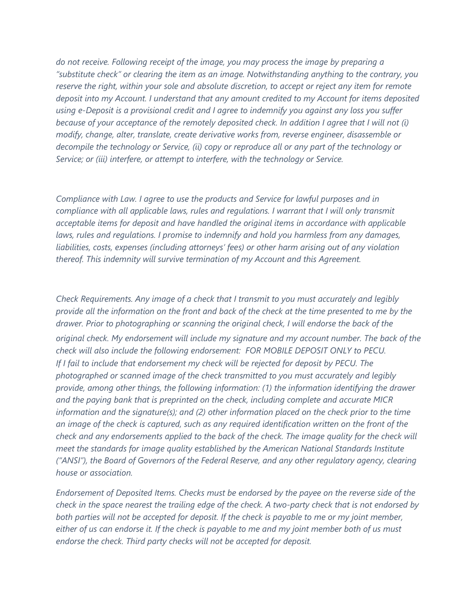*do not receive. Following receipt of the image, you may process the image by preparing a "substitute check" or clearing the item as an image. Notwithstanding anything to the contrary, you reserve the right, within your sole and absolute discretion, to accept or reject any item for remote deposit into my Account. I understand that any amount credited to my Account for items deposited using e-Deposit is a provisional credit and I agree to indemnify you against any loss you suffer because of your acceptance of the remotely deposited check. In addition I agree that I will not (i) modify, change, alter, translate, create derivative works from, reverse engineer, disassemble or decompile the technology or Service, (ii) copy or reproduce all or any part of the technology or Service; or (iii) interfere, or attempt to interfere, with the technology or Service.* 

*Compliance with Law. I agree to use the products and Service for lawful purposes and in compliance with all applicable laws, rules and regulations. I warrant that I will only transmit acceptable items for deposit and have handled the original items in accordance with applicable laws, rules and regulations. I promise to indemnify and hold you harmless from any damages, liabilities, costs, expenses (including attorneys' fees) or other harm arising out of any violation thereof. This indemnity will survive termination of my Account and this Agreement.* 

*Check Requirements. Any image of a check that I transmit to you must accurately and legibly provide all the information on the front and back of the check at the time presented to me by the drawer. Prior to photographing or scanning the original check, I will endorse the back of the original check. My endorsement will include my signature and my account number. The back of the check will also include the following endorsement: FOR MOBILE DEPOSIT ONLY to PECU. If I fail to include that endorsement my check will be rejected for deposit by PECU. The photographed or scanned image of the check transmitted to you must accurately and legibly provide, among other things, the following information: (1) the information identifying the drawer and the paying bank that is preprinted on the check, including complete and accurate MICR information and the signature(s); and (2) other information placed on the check prior to the time an image of the check is captured, such as any required identification written on the front of the check and any endorsements applied to the back of the check. The image quality for the check will meet the standards for image quality established by the American National Standards Institute ("ANSI"), the Board of Governors of the Federal Reserve, and any other regulatory agency, clearing house or association.* 

*Endorsement of Deposited Items. Checks must be endorsed by the payee on the reverse side of the check in the space nearest the trailing edge of the check. A two-party check that is not endorsed by both parties will not be accepted for deposit. If the check is payable to me or my joint member, either of us can endorse it. If the check is payable to me and my joint member both of us must endorse the check. Third party checks will not be accepted for deposit.*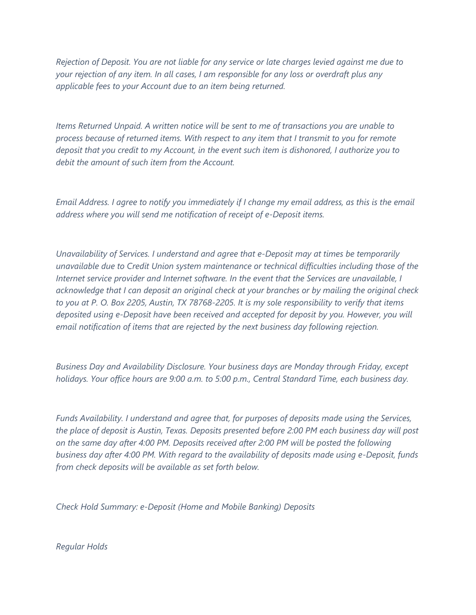*Rejection of Deposit. You are not liable for any service or late charges levied against me due to your rejection of any item. In all cases, I am responsible for any loss or overdraft plus any applicable fees to your Account due to an item being returned.* 

*Items Returned Unpaid. A written notice will be sent to me of transactions you are unable to process because of returned items. With respect to any item that I transmit to you for remote deposit that you credit to my Account, in the event such item is dishonored, I authorize you to debit the amount of such item from the Account.* 

*Email Address. I agree to notify you immediately if I change my email address, as this is the email address where you will send me notification of receipt of e-Deposit items.* 

*Unavailability of Services. I understand and agree that e-Deposit may at times be temporarily unavailable due to Credit Union system maintenance or technical difficulties including those of the Internet service provider and Internet software. In the event that the Services are unavailable, I acknowledge that I can deposit an original check at your branches or by mailing the original check to you at P. O. Box 2205, Austin, TX 78768-2205. It is my sole responsibility to verify that items deposited using e-Deposit have been received and accepted for deposit by you. However, you will email notification of items that are rejected by the next business day following rejection.* 

*Business Day and Availability Disclosure. Your business days are Monday through Friday, except holidays. Your office hours are 9:00 a.m. to 5:00 p.m., Central Standard Time, each business day.* 

*Funds Availability. I understand and agree that, for purposes of deposits made using the Services, the place of deposit is Austin, Texas. Deposits presented before 2:00 PM each business day will post on the same day after 4:00 PM. Deposits received after 2:00 PM will be posted the following business day after 4:00 PM. With regard to the availability of deposits made using e-Deposit, funds from check deposits will be available as set forth below.* 

*Check Hold Summary: e-Deposit (Home and Mobile Banking) Deposits* 

*Regular Holds*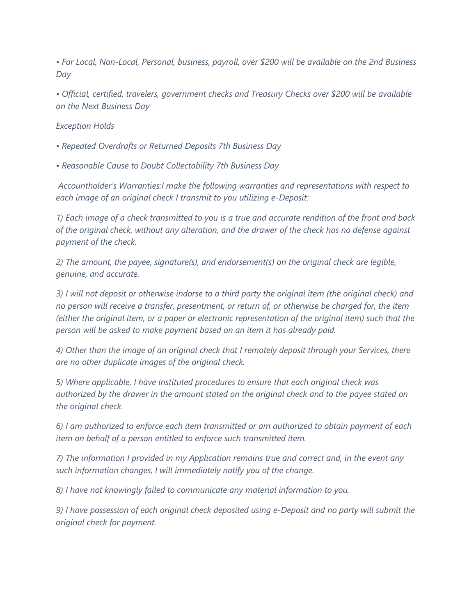*• For Local, Non-Local, Personal, business, payroll, over \$200 will be available on the 2nd Business Day* 

*• Official, certified, travelers, government checks and Treasury Checks over \$200 will be available on the Next Business Day* 

## *Exception Holds*

*• Repeated Overdrafts or Returned Deposits 7th Business Day*

*• Reasonable Cause to Doubt Collectability 7th Business Day* 

*Accountholder's Warranties:I make the following warranties and representations with respect to each image of an original check I transmit to you utilizing e-Deposit:* 

*1) Each image of a check transmitted to you is a true and accurate rendition of the front and back of the original check, without any alteration, and the drawer of the check has no defense against payment of the check.* 

*2) The amount, the payee, signature(s), and endorsement(s) on the original check are legible, genuine, and accurate.* 

*3) I will not deposit or otherwise indorse to a third party the original item (the original check) and no person will receive a transfer, presentment, or return of, or otherwise be charged for, the item (either the original item, or a paper or electronic representation of the original item) such that the person will be asked to make payment based on an item it has already paid.* 

*4) Other than the image of an original check that I remotely deposit through your Services, there are no other duplicate images of the original check.* 

*5) Where applicable, I have instituted procedures to ensure that each original check was authorized by the drawer in the amount stated on the original check and to the payee stated on the original check.* 

*6) I am authorized to enforce each item transmitted or am authorized to obtain payment of each item on behalf of a person entitled to enforce such transmitted item.* 

*7) The information I provided in my Application remains true and correct and, in the event any such information changes, I will immediately notify you of the change.* 

*8) I have not knowingly failed to communicate any material information to you.* 

*9) I have possession of each original check deposited using e-Deposit and no party will submit the original check for payment.*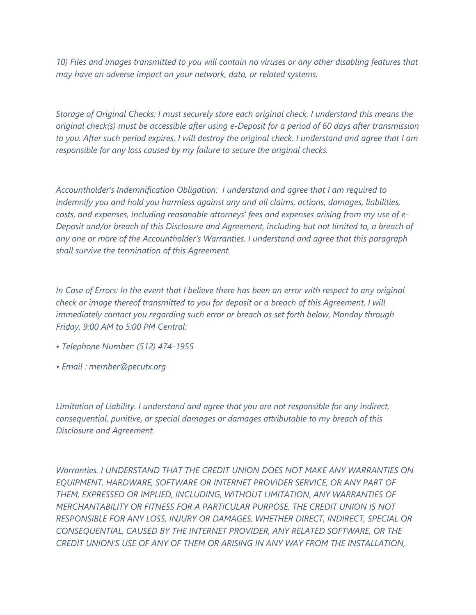*10) Files and images transmitted to you will contain no viruses or any other disabling features that may have an adverse impact on your network, data, or related systems.* 

*Storage of Original Checks: I must securely store each original check. I understand this means the original check(s) must be accessible after using e-Deposit for a period of 60 days after transmission to you. After such period expires, I will destroy the original check. I understand and agree that I am responsible for any loss caused by my failure to secure the original checks.* 

*Accountholder's Indemnification Obligation: I understand and agree that I am required to indemnify you and hold you harmless against any and all claims, actions, damages, liabilities, costs, and expenses, including reasonable attorneys' fees and expenses arising from my use of e-Deposit and/or breach of this Disclosure and Agreement, including but not limited to, a breach of any one or more of the Accountholder's Warranties. I understand and agree that this paragraph shall survive the termination of this Agreement.* 

In Case of Errors: In the event that I believe there has been an error with respect to any original *check or image thereof transmitted to you for deposit or a breach of this Agreement, I will immediately contact you regarding such error or breach as set forth below, Monday through Friday, 9:00 AM to 5:00 PM Central:* 

- *Telephone Number: (512) 474-1955*
- *Email : member@pecutx.org*

*Limitation of Liability. I understand and agree that you are not responsible for any indirect, consequential, punitive, or special damages or damages attributable to my breach of this Disclosure and Agreement.* 

*Warranties. I UNDERSTAND THAT THE CREDIT UNION DOES NOT MAKE ANY WARRANTIES ON EQUIPMENT, HARDWARE, SOFTWARE OR INTERNET PROVIDER SERVICE, OR ANY PART OF THEM, EXPRESSED OR IMPLIED, INCLUDING, WITHOUT LIMITATION, ANY WARRANTIES OF MERCHANTABILITY OR FITNESS FOR A PARTICULAR PURPOSE. THE CREDIT UNION IS NOT RESPONSIBLE FOR ANY LOSS, INJURY OR DAMAGES, WHETHER DIRECT, INDIRECT, SPECIAL OR CONSEQUENTIAL, CAUSED BY THE INTERNET PROVIDER, ANY RELATED SOFTWARE, OR THE CREDIT UNION'S USE OF ANY OF THEM OR ARISING IN ANY WAY FROM THE INSTALLATION,*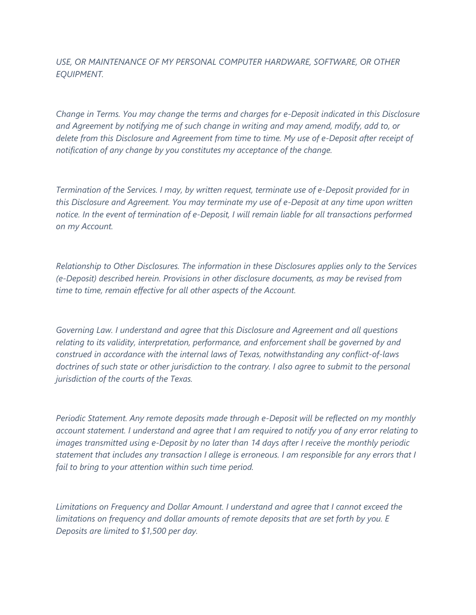*USE, OR MAINTENANCE OF MY PERSONAL COMPUTER HARDWARE, SOFTWARE, OR OTHER EQUIPMENT.* 

*Change in Terms. You may change the terms and charges for e-Deposit indicated in this Disclosure and Agreement by notifying me of such change in writing and may amend, modify, add to, or delete from this Disclosure and Agreement from time to time. My use of e-Deposit after receipt of notification of any change by you constitutes my acceptance of the change.* 

*Termination of the Services. I may, by written request, terminate use of e-Deposit provided for in this Disclosure and Agreement. You may terminate my use of e-Deposit at any time upon written notice. In the event of termination of e-Deposit, I will remain liable for all transactions performed on my Account.* 

*Relationship to Other Disclosures. The information in these Disclosures applies only to the Services (e-Deposit) described herein. Provisions in other disclosure documents, as may be revised from time to time, remain effective for all other aspects of the Account.* 

*Governing Law. I understand and agree that this Disclosure and Agreement and all questions relating to its validity, interpretation, performance, and enforcement shall be governed by and construed in accordance with the internal laws of Texas, notwithstanding any conflict-of-laws doctrines of such state or other jurisdiction to the contrary. I also agree to submit to the personal jurisdiction of the courts of the Texas.* 

*Periodic Statement. Any remote deposits made through e-Deposit will be reflected on my monthly account statement. I understand and agree that I am required to notify you of any error relating to images transmitted using e-Deposit by no later than 14 days after I receive the monthly periodic statement that includes any transaction I allege is erroneous. I am responsible for any errors that I fail to bring to your attention within such time period.* 

*Limitations on Frequency and Dollar Amount. I understand and agree that I cannot exceed the*  limitations on frequency and dollar amounts of remote deposits that are set forth by you. E *Deposits are limited to \$1,500 per day.*